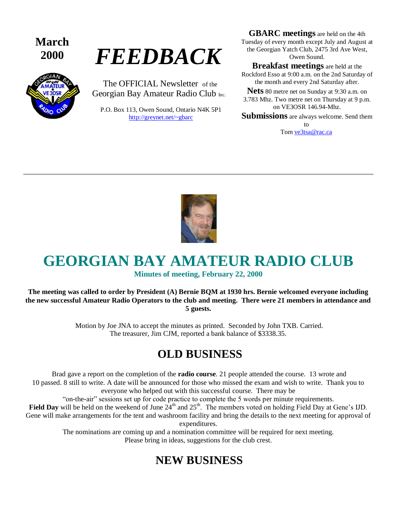**March** 



# **<sup>2000</sup>** *FEEDBACK*

The OFFICIAL Newsletter of the Georgian Bay Amateur Radio Club Inc.

P.O. Box 113, Owen Sound, Ontario N4K 5P1 <http://greynet.net/~gbarc>

**GBARC meetings** are held on the 4th Tuesday of every month except July and August at the Georgian Yatch Club, 2475 3rd Ave West, Owen Sound.

**Breakfast meetings** are held at the Rockford Esso at 9:00 a.m. on the 2nd Saturday of the month and every 2nd Saturday after.

**Nets** 80 metre net on Sunday at 9:30 a.m. on 3.783 Mhz. Two metre net on Thursday at 9 p.m. on VE3OSR 146.94-Mhz.

**Submissions** are always welcome. Send them to

Tom [ve3tsa@rac.ca](mailto:ve3tsa@rac.ca)



# **GEORGIAN BAY AMATEUR RADIO CLUB**

#### **Minutes of meeting, February 22, 2000**

#### **The meeting was called to order by President (A) Bernie BQM at 1930 hrs. Bernie welcomed everyone including the new successful Amateur Radio Operators to the club and meeting. There were 21 members in attendance and 5 guests.**

Motion by Joe JNA to accept the minutes as printed. Seconded by John TXB. Carried. The treasurer, Jim CJM, reported a bank balance of \$3338.35.

### **OLD BUSINESS**

Brad gave a report on the completion of the **radio course**. 21 people attended the course. 13 wrote and 10 passed. 8 still to write. A date will be announced for those who missed the exam and wish to write. Thank you to everyone who helped out with this successful course. There may be

"on-the-air" sessions set up for code practice to complete the 5 words per minute requirements.

Field Day will be held on the weekend of June  $24<sup>th</sup>$  and  $25<sup>th</sup>$ . The members voted on holding Field Day at Gene's IJD. Gene will make arrangements for the tent and washroom facility and bring the details to the next meeting for approval of expenditures.

> The nominations are coming up and a nomination committee will be required for next meeting. Please bring in ideas, suggestions for the club crest.

### **NEW BUSINESS**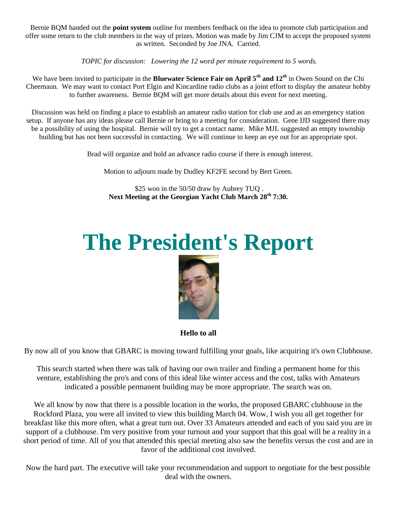Bernie BQM handed out the **point system** outline for members feedback on the idea to promote club participation and offer some return to the club members in the way of prizes. Motion was made by Jim CJM to accept the proposed system as written. Seconded by Joe JNA. Carried.

*TOPIC for discussion: Lowering the 12 word per minute requirement to 5 words.* 

We have been invited to participate in the **Bluewater Science Fair on April 5th and 12th** in Owen Sound on the Chi Cheemaun. We may want to contact Port Elgin and Kincardine radio clubs as a joint effort to display the amateur hobby to further awareness. Bernie BQM will get more details about this event for next meeting.

Discussion was held on finding a place to establish an amateur radio station for club use and as an emergency station setup. If anyone has any ideas please call Bernie or bring to a meeting for consideration. Gene IJD suggested there may be a possibility of using the hospital. Bernie will try to get a contact name. Mike MJL suggested an empty township building but has not been successful in contacting. We will continue to keep an eye out for an appropriate spot.

Brad will organize and hold an advance radio course if there is enough interest.

Motion to adjourn made by Dudley KF2FE second by Bert Green.

\$25 won in the 50/50 draw by Aubrey TUQ . **Next Meeting at the Georgian Yacht Club March 28th 7:30.**

# **The President's Report**



**Hello to all**

By now all of you know that GBARC is moving toward fulfilling your goals, like acquiring it's own Clubhouse.

This search started when there was talk of having our own trailer and finding a permanent home for this venture, establishing the pro's and cons of this ideal like winter access and the cost, talks with Amateurs indicated a possible permanent building may be more appropriate. The search was on.

We all know by now that there is a possible location in the works, the proposed GBARC clubhouse in the Rockford Plaza, you were all invited to view this building March 04. Wow, I wish you all get together for breakfast like this more often, what a great turn out. Over 33 Amateurs attended and each of you said you are in support of a clubhouse. I'm very positive from your turnout and your support that this goal will be a reality in a short period of time. All of you that attended this special meeting also saw the benefits versus the cost and are in favor of the additional cost involved.

Now the hard part. The executive will take your recommendation and support to negotiate for the best possible deal with the owners.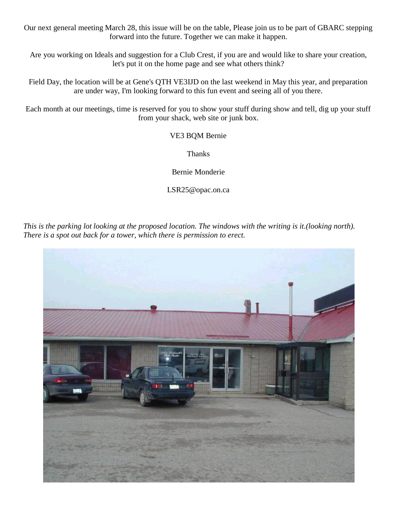Our next general meeting March 28, this issue will be on the table, Please join us to be part of GBARC stepping forward into the future. Together we can make it happen.

Are you working on Ideals and suggestion for a Club Crest, if you are and would like to share your creation, let's put it on the home page and see what others think?

Field Day, the location will be at Gene's QTH VE3IJD on the last weekend in May this year, and preparation are under way, I'm looking forward to this fun event and seeing all of you there.

Each month at our meetings, time is reserved for you to show your stuff during show and tell, dig up your stuff from your shack, web site or junk box.

VE3 BQM Bernie

Thanks

Bernie Monderie

LSR25@opac.on.ca

*This is the parking lot looking at the proposed location. The windows with the writing is it.(looking north). There is a spot out back for a tower, which there is permission to erect.*

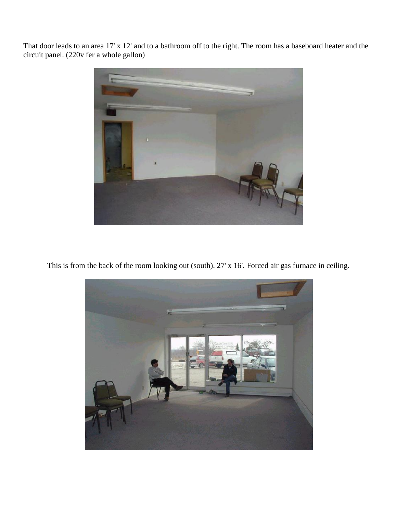That door leads to an area 17' x 12' and to a bathroom off to the right. The room has a baseboard heater and the circuit panel. (220v fer a whole gallon)



This is from the back of the room looking out (south). 27' x 16'. Forced air gas furnace in ceiling.

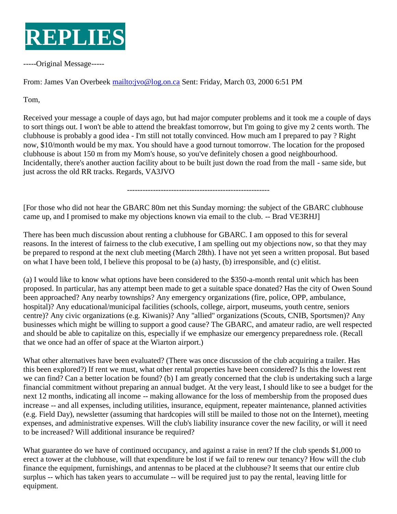

-----Original Message-----

From: James Van Overbeek [mailto:jvo@log.on.ca](mailto:[mailto:jvo@log.on.ca) Sent: Friday, March 03, 2000 6:51 PM

Tom,

Received your message a couple of days ago, but had major computer problems and it took me a couple of days to sort things out. I won't be able to attend the breakfast tomorrow, but I'm going to give my 2 cents worth. The clubhouse is probably a good idea - I'm still not totally convinced. How much am I prepared to pay ? Right now, \$10/month would be my max. You should have a good turnout tomorrow. The location for the proposed clubhouse is about 150 m from my Mom's house, so you've definitely chosen a good neighbourhood. Incidentally, there's another auction facility about to be built just down the road from the mall - same side, but just across the old RR tracks. Regards, VA3JVO

-------------------------------------------------------

[For those who did not hear the GBARC 80m net this Sunday morning: the subject of the GBARC clubhouse came up, and I promised to make my objections known via email to the club. -- Brad VE3RHJ]

There has been much discussion about renting a clubhouse for GBARC. I am opposed to this for several reasons. In the interest of fairness to the club executive, I am spelling out my objections now, so that they may be prepared to respond at the next club meeting (March 28th). I have not yet seen a written proposal. But based on what I have been told, I believe this proposal to be (a) hasty, (b) irresponsible, and (c) elitist.

(a) I would like to know what options have been considered to the \$350-a-month rental unit which has been proposed. In particular, has any attempt been made to get a suitable space donated? Has the city of Owen Sound been approached? Any nearby townships? Any emergency organizations (fire, police, OPP, ambulance, hospital)? Any educational/municipal facilities (schools, college, airport, museums, youth centre, seniors centre)? Any civic organizations (e.g. Kiwanis)? Any "allied" organizations (Scouts, CNIB, Sportsmen)? Any businesses which might be willing to support a good cause? The GBARC, and amateur radio, are well respected and should be able to capitalize on this, especially if we emphasize our emergency preparedness role. (Recall that we once had an offer of space at the Wiarton airport.)

What other alternatives have been evaluated? (There was once discussion of the club acquiring a trailer. Has this been explored?) If rent we must, what other rental properties have been considered? Is this the lowest rent we can find? Can a better location be found? (b) I am greatly concerned that the club is undertaking such a large financial commitment without preparing an annual budget. At the very least, I should like to see a budget for the next 12 months, indicating all income -- making allowance for the loss of membership from the proposed dues increase -- and all expenses, including utilities, insurance, equipment, repeater maintenance, planned activities (e.g. Field Day), newsletter (assuming that hardcopies will still be mailed to those not on the Internet), meeting expenses, and administrative expenses. Will the club's liability insurance cover the new facility, or will it need to be increased? Will additional insurance be required?

What guarantee do we have of continued occupancy, and against a raise in rent? If the club spends \$1,000 to erect a tower at the clubhouse, will that expenditure be lost if we fail to renew our tenancy? How will the club finance the equipment, furnishings, and antennas to be placed at the clubhouse? It seems that our entire club surplus -- which has taken years to accumulate -- will be required just to pay the rental, leaving little for equipment.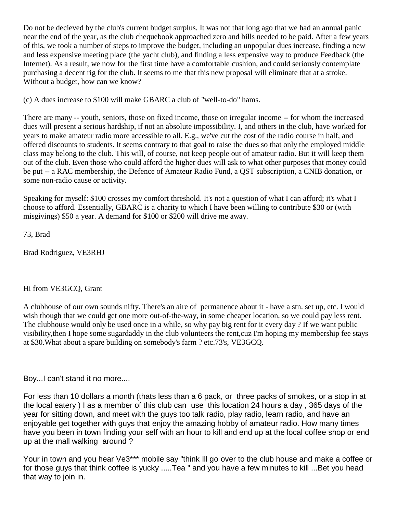Do not be decieved by the club's current budget surplus. It was not that long ago that we had an annual panic near the end of the year, as the club chequebook approached zero and bills needed to be paid. After a few years of this, we took a number of steps to improve the budget, including an unpopular dues increase, finding a new and less expensive meeting place (the yacht club), and finding a less expensive way to produce Feedback (the Internet). As a result, we now for the first time have a comfortable cushion, and could seriously contemplate purchasing a decent rig for the club. It seems to me that this new proposal will eliminate that at a stroke. Without a budget, how can we know?

(c) A dues increase to \$100 will make GBARC a club of "well-to-do" hams.

There are many -- youth, seniors, those on fixed income, those on irregular income -- for whom the increased dues will present a serious hardship, if not an absolute impossibility. I, and others in the club, have worked for years to make amateur radio more accessible to all. E.g., we've cut the cost of the radio course in half, and offered discounts to students. It seems contrary to that goal to raise the dues so that only the employed middle class may belong to the club. This will, of course, not keep people out of amateur radio. But it will keep them out of the club. Even those who could afford the higher dues will ask to what other purposes that money could be put -- a RAC membership, the Defence of Amateur Radio Fund, a QST subscription, a CNIB donation, or some non-radio cause or activity.

Speaking for myself: \$100 crosses my comfort threshold. It's not a question of what I can afford; it's what I choose to afford. Essentially, GBARC is a charity to which I have been willing to contribute \$30 or (with misgivings) \$50 a year. A demand for \$100 or \$200 will drive me away.

73, Brad

Brad Rodriguez, VE3RHJ

#### Hi from VE3GCQ, Grant

A clubhouse of our own sounds nifty. There's an aire of permanence about it - have a stn. set up, etc. I would wish though that we could get one more out-of-the-way, in some cheaper location, so we could pay less rent. The clubhouse would only be used once in a while, so why pay big rent for it every day ? If we want public visibility,then I hope some sugardaddy in the club volunteers the rent,cuz I'm hoping my membership fee stays at \$30.What about a spare building on somebody's farm ? etc.73's, VE3GCQ.

Boy...I can't stand it no more....

For less than 10 dollars a month (thats less than a 6 pack, or three packs of smokes, or a stop in at the local eatery ) I as a member of this club can use this location 24 hours a day , 365 days of the year for sitting down, and meet with the guys too talk radio, play radio, learn radio, and have an enjoyable get together with guys that enjoy the amazing hobby of amateur radio. How many times have you been in town finding your self with an hour to kill and end up at the local coffee shop or end up at the mall walking around ?

Your in town and you hear Ve3\*\*\* mobile say "think III go over to the club house and make a coffee or for those guys that think coffee is yucky .....Tea " and you have a few minutes to kill ...Bet you head that way to join in.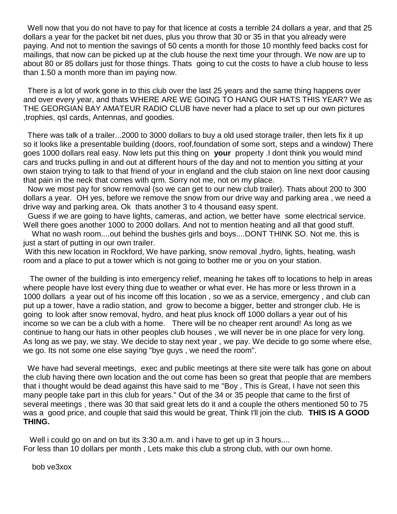Well now that you do not have to pay for that licence at costs a terrible 24 dollars a year, and that 25 dollars a year for the packet bit net dues, plus you throw that 30 or 35 in that you already were paying. And not to mention the savings of 50 cents a month for those 10 monthly feed backs cost for mailings, that now can be picked up at the club house the next time your through. We now are up to about 80 or 85 dollars just for those things. Thats going to cut the costs to have a club house to less than 1.50 a month more than im paying now.

There is a lot of work gone in to this club over the last 25 years and the same thing happens over and over every year, and thats WHERE ARE WE GOING TO HANG OUR HATS THIS YEAR? We as THE GEORGIAN BAY AMATEUR RADIO CLUB have never had a place to set up our own pictures ,trophies, qsl cards, Antennas, and goodies.

There was talk of a trailer...2000 to 3000 dollars to buy a old used storage trailer, then lets fix it up so it looks like a presentable building (doors, roof,foundation of some sort, steps and a window) There goes 1000 dollars real easy. Now lets put this thing on **your** property .I dont think you would mind cars and trucks pulling in and out at different hours of the day and not to mention you sitting at your own staion trying to talk to that friend of your in england and the club staion on line next door causing that pain in the neck that comes with qrm. Sorry not me, not on my place.

Now we most pay for snow removal (so we can get to our new club trailer). Thats about 200 to 300 dollars a year. OH yes, before we remove the snow from our drive way and parking area , we need a drive way and parking area. Ok thats another 3 to 4 thousand easy spent.

Guess if we are going to have lights, cameras, and action, we better have some electrical service. Well there goes another 1000 to 2000 dollars. And not to mention heating and all that good stuff.

 What no wash room....out behind the bushes girls and boys....DONT THINK SO. Not me. this is just a start of putting in our own trailer.

With this new location in Rockford, We have parking, snow removal , hydro, lights, heating, wash room and a place to put a tower which is not going to bother me or you on your station.

 The owner of the building is into emergency relief, meaning he takes off to locations to help in areas where people have lost every thing due to weather or what ever. He has more or less thrown in a 1000 dollars a year out of his income off this location , so we as a service, emergency , and club can put up a tower, have a radio station, and grow to become a bigger, better and stronger club. He is going to look after snow removal, hydro, and heat plus knock off 1000 dollars a year out of his income so we can be a club with a home. There will be no cheaper rent around! As long as we continue to hang our hats in other peoples club houses , we will never be in one place for very long. As long as we pay, we stay. We decide to stay next year , we pay. We decide to go some where else, we go. Its not some one else saying "bye guys , we need the room".

We have had several meetings, exec and public meetings at there site were talk has gone on about the club having there own location and the out come has been so great that people that are members that i thought would be dead against this have said to me "Boy , This is Great, I have not seen this many people take part in this club for years." Out of the 34 or 35 people that came to the first of several meetings , there was 30 that said great lets do it and a couple the others mentioned 50 to 75 was a good price, and couple that said this would be great, Think I'll join the club. **THIS IS A GOOD THING.**

 Well i could go on and on but its 3:30 a.m. and i have to get up in 3 hours.... For less than 10 dollars per month , Lets make this club a strong club, with our own home.

bob ve3xox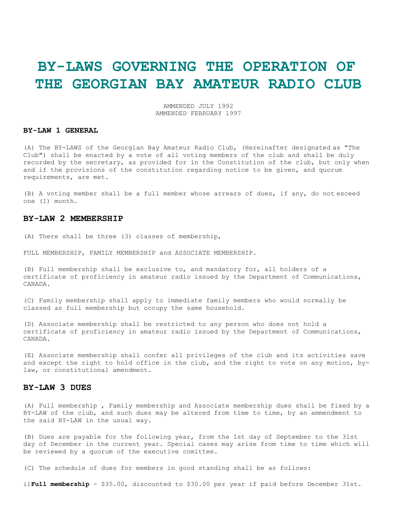### **BY-LAWS GOVERNING THE OPERATION OF THE GEORGIAN BAY AMATEUR RADIO CLUB**

AMMENDED JULY 1992 AMMENDED FEBRUARY 1997

#### **BY-LAW 1 GENERAL**

(A) The BY-LAWS of the Georgian Bay Amateur Radio Club, (Hereinafter designated as "The Club") shall be enacted by a vote of all voting members of the club and shall be duly recorded by the secretary, as provided for in the Constitution of the club, but only when and if the provisions of the constitution regarding notice to be given, and quorum requirements, are met.

(B) A voting member shall be a full member whose arrears of dues, if any, do not exceed one (1) month.

#### **BY-LAW 2 MEMBERSHIP**

(A) There shall be three (3) classes of membership,

FULL MEMBERSHIP, FAMILY MEMBERSHIP and ASSOCIATE MEMBERSHIP.

(B) Full membership shall be exclusive to, and mandatory for, all holders of a certificate of proficiency in amateur radio issued by the Department of Communications, CANADA.

(C) Family membership shall apply to immediate family members who would normally be classed as full membership but occupy the same household.

(D) Associate membership shall be restricted to any person who does not hold a certificate of proficiency in amateur radio issued by the Department of Communications, CANADA.

(E) Associate membership shall confer all privileges of the club and its activities save and except the right to hold office in the club, and the right to vote on any motion, bylaw, or constitutional amendment.

#### **BY-LAW 3 DUES**

(A) Full membership , Family membership and Associate membership dues shall be fixed by a BY-LAW of the club, and such dues may be altered from time to time, by an ammendment to the said BY-LAW in the usual way.

(B) Dues are payable for the following year, from the 1st day of September to the 31st day of December in the current year. Special cases may arise from time to time which will be reviewed by a quorum of the executive comittee.

(C) The schedule of dues for members in good standing shall be as follows:

i)**Full membership** - \$35.00, discounted to \$30.00 per year if paid before December 31st.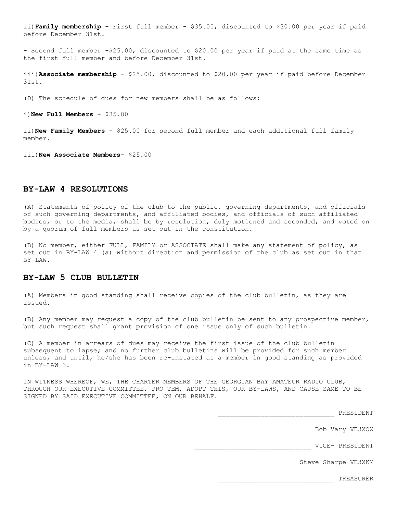ii)**Family membership** - First full member - \$35.00, discounted to \$30.00 per year if paid before December 31st.

- Second full member -\$25.00, discounted to \$20.00 per year if paid at the same time as the first full member and before December 31st.

iii)**Associate membership** - \$25.00, discounted to \$20.00 per year if paid before December 31st.

(D) The schedule of dues for new members shall be as follows:

i)**New Full Members** - \$35.00

ii)**New Family Members** - \$25.00 for second full member and each additional full family member.

iii)**New Associate Members**- \$25.00

#### **BY-LAW 4 RESOLUTIONS**

(A) Statements of policy of the club to the public, governing departments, and officials of such governing departments, and affiliated bodies, and officials of such affiliated bodies, or to the media, shall be by resolution, duly motioned and seconded, and voted on by a quorum of full members as set out in the constitution.

(B) No member, either FULL, FAMILY or ASSOCIATE shall make any statement of policy, as set out in BY-LAW 4 (a) without direction and permission of the club as set out in that BY-LAW.

#### **BY-LAW 5 CLUB BULLETIN**

(A) Members in good standing shall receive copies of the club bulletin, as they are issued.

(B) Any member may request a copy of the club bulletin be sent to any prospective member, but such request shall grant provision of one issue only of such bulletin.

(C) A member in arrears of dues may receive the first issue of the club bulletin subsequent to lapse; and no further club bulletins will be provided for such member unless, and until, he/she has been re-instated as a member in good standing as provided in BY-LAW 3.

IN WITNESS WHEREOF, WE, THE CHARTER MEMBERS OF THE GEORGIAN BAY AMATEUR RADIO CLUB, THROUGH OUR EXECUTIVE COMMITTEE, PRO TEM, ADOPT THIS, OUR BY-LAWS, AND CAUSE SAME TO BE SIGNED BY SAID EXECUTIVE COMMITTEE, ON OUR BEHALF.

\_\_\_\_\_\_\_\_\_\_\_\_\_\_\_\_\_\_\_\_\_\_\_\_\_\_\_\_\_\_ PRESIDENT

Bob Vary VE3XOX

\_\_\_\_\_\_\_\_\_\_\_\_\_\_\_\_\_\_\_\_\_\_\_\_\_\_\_\_\_\_ VICE- PRESIDENT

Steve Sharpe VE3XKM

\_\_\_\_\_\_\_\_\_\_\_\_\_\_\_\_\_\_\_\_\_\_\_\_\_\_\_\_\_\_ TREASURER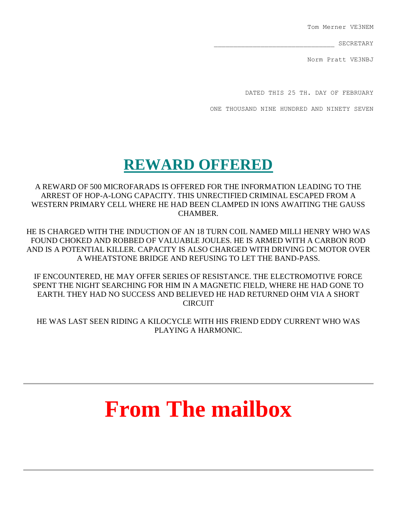Tom Merner VE3NEM

\_\_\_\_\_\_\_\_\_\_\_\_\_\_\_\_\_\_\_\_\_\_\_\_\_\_\_\_\_\_\_ SECRETARY

Norm Pratt VE3NBJ

DATED THIS 25 TH. DAY OF FEBRUARY

ONE THOUSAND NINE HUNDRED AND NINETY SEVEN

## **REWARD OFFERED**

A REWARD OF 500 MICROFARADS IS OFFERED FOR THE INFORMATION LEADING TO THE ARREST OF HOP-A-LONG CAPACITY. THIS UNRECTIFIED CRIMINAL ESCAPED FROM A WESTERN PRIMARY CELL WHERE HE HAD BEEN CLAMPED IN IONS AWAITING THE GAUSS CHAMBER.

HE IS CHARGED WITH THE INDUCTION OF AN 18 TURN COIL NAMED MILLI HENRY WHO WAS FOUND CHOKED AND ROBBED OF VALUABLE JOULES. HE IS ARMED WITH A CARBON ROD AND IS A POTENTIAL KILLER. CAPACITY IS ALSO CHARGED WITH DRIVING DC MOTOR OVER A WHEATSTONE BRIDGE AND REFUSING TO LET THE BAND-PASS.

IF ENCOUNTERED, HE MAY OFFER SERIES OF RESISTANCE. THE ELECTROMOTIVE FORCE SPENT THE NIGHT SEARCHING FOR HIM IN A MAGNETIC FIELD, WHERE HE HAD GONE TO EARTH. THEY HAD NO SUCCESS AND BELIEVED HE HAD RETURNED OHM VIA A SHORT CIRCUIT

HE WAS LAST SEEN RIDING A KILOCYCLE WITH HIS FRIEND EDDY CURRENT WHO WAS PLAYING A HARMONIC.

# **From The mailbox**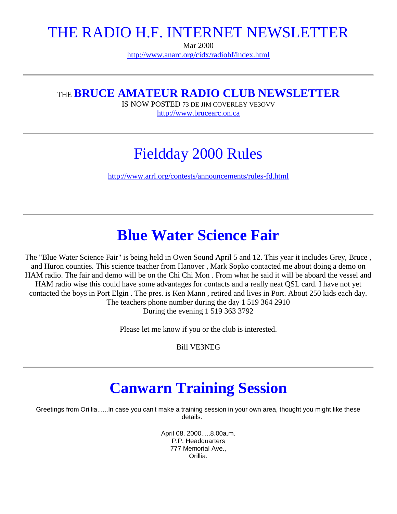### THE RADIO H.F. INTERNET NEWSLETTER

Mar 2000 <http://www.anarc.org/cidx/radiohf/index.html>

### THE **BRUCE AMATEUR RADIO CLUB NEWSLETTER**

IS NOW POSTED 73 DE JIM COVERLEY VE3OVV [http://www.brucearc.on.ca](http://www.brucearc.on.ca/)

## Fieldday 2000 Rules

<http://www.arrl.org/contests/announcements/rules-fd.html>

## **Blue Water Science Fair**

The "Blue Water Science Fair" is being held in Owen Sound April 5 and 12. This year it includes Grey, Bruce , and Huron counties. This science teacher from Hanover , Mark Sopko contacted me about doing a demo on HAM radio. The fair and demo will be on the Chi Chi Mon . From what he said it will be aboard the vessel and HAM radio wise this could have some advantages for contacts and a really neat QSL card. I have not yet contacted the boys in Port Elgin . The pres. is Ken Mann , retired and lives in Port. About 250 kids each day. The teachers phone number during the day 1 519 364 2910 During the evening 1 519 363 3792

Please let me know if you or the club is interested.

Bill VE3NEG

## **Canwarn Training Session**

Greetings from Orillia......In case you can't make a training session in your own area, thought you might like these details.

> April 08, 2000.....8.00a.m. P.P. Headquarters 777 Memorial Ave., Orillia.